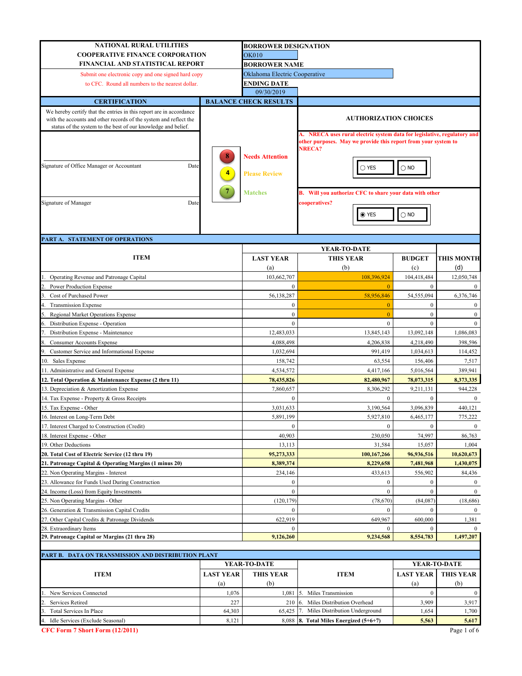| <b>NATIONAL RURAL UTILITIES</b>                                                                                                                                                                           | <b>BORROWER DESIGNATION</b> |                               |                                                                          |                  |                   |  |
|-----------------------------------------------------------------------------------------------------------------------------------------------------------------------------------------------------------|-----------------------------|-------------------------------|--------------------------------------------------------------------------|------------------|-------------------|--|
| <b>COOPERATIVE FINANCE CORPORATION</b>                                                                                                                                                                    |                             | <b>OK010</b>                  |                                                                          |                  |                   |  |
| FINANCIAL AND STATISTICAL REPORT                                                                                                                                                                          |                             | <b>BORROWER NAME</b>          |                                                                          |                  |                   |  |
|                                                                                                                                                                                                           |                             | Oklahoma Electric Cooperative |                                                                          |                  |                   |  |
| Submit one electronic copy and one signed hard copy                                                                                                                                                       |                             | ENDING DATE                   |                                                                          |                  |                   |  |
| to CFC. Round all numbers to the nearest dollar.                                                                                                                                                          |                             | 09/30/2019                    |                                                                          |                  |                   |  |
|                                                                                                                                                                                                           |                             | <b>BALANCE CHECK RESULTS</b>  |                                                                          |                  |                   |  |
| <b>CERTIFICATION</b>                                                                                                                                                                                      |                             |                               |                                                                          |                  |                   |  |
| We hereby certify that the entries in this report are in accordance<br>with the accounts and other records of the system and reflect the<br>status of the system to the best of our knowledge and belief. |                             | <b>AUTHORIZATION CHOICES</b>  |                                                                          |                  |                   |  |
|                                                                                                                                                                                                           |                             |                               | A. NRECA uses rural electric system data for legislative, regulatory and |                  |                   |  |
|                                                                                                                                                                                                           |                             |                               | other purposes. May we provide this report from your system to           |                  |                   |  |
|                                                                                                                                                                                                           |                             |                               | <b>NRECA?</b>                                                            |                  |                   |  |
|                                                                                                                                                                                                           | 8                           | <b>Needs Attention</b>        |                                                                          |                  |                   |  |
| Signature of Office Manager or Accountant<br>Date                                                                                                                                                         |                             |                               | $\bigcirc$ yes                                                           | $\bigcirc$ NO    |                   |  |
|                                                                                                                                                                                                           | 4                           | <b>Please Review</b>          |                                                                          |                  |                   |  |
|                                                                                                                                                                                                           |                             |                               |                                                                          |                  |                   |  |
|                                                                                                                                                                                                           |                             | <b>Matches</b>                | B. Will you authorize CFC to share your data with other                  |                  |                   |  |
| Signature of Manager<br>Date                                                                                                                                                                              |                             |                               | cooperatives?                                                            |                  |                   |  |
|                                                                                                                                                                                                           |                             |                               | ◉ YES                                                                    | $\bigcirc$ NO    |                   |  |
|                                                                                                                                                                                                           |                             |                               |                                                                          |                  |                   |  |
|                                                                                                                                                                                                           |                             |                               |                                                                          |                  |                   |  |
| PART A. STATEMENT OF OPERATIONS                                                                                                                                                                           |                             |                               |                                                                          |                  |                   |  |
|                                                                                                                                                                                                           |                             |                               | YEAR-TO-DATE                                                             |                  |                   |  |
| <b>ITEM</b>                                                                                                                                                                                               |                             | <b>LAST YEAR</b>              | <b>THIS YEAR</b>                                                         | <b>BUDGET</b>    | <b>THIS MONTH</b> |  |
|                                                                                                                                                                                                           |                             | (a)                           | (b)                                                                      | (c)              | (d)               |  |
| Operating Revenue and Patronage Capital                                                                                                                                                                   |                             | 103,662,707                   | 108,396,924                                                              | 104,418,484      | 12,050,748        |  |
| Power Production Expense                                                                                                                                                                                  |                             | $\mathbf{0}$                  | $\overline{0}$                                                           | $\mathbf{0}$     |                   |  |
| Cost of Purchased Power                                                                                                                                                                                   |                             | 56,138,287                    | 58,956,846                                                               | 54,555,094       | 6,376,746         |  |
|                                                                                                                                                                                                           |                             | $\mathbf{0}$                  | $\overline{0}$                                                           | $\bf{0}$         | $\mathbf{0}$      |  |
| <b>Transmission Expense</b>                                                                                                                                                                               |                             | $\mathbf{0}$                  | $\overline{0}$                                                           | $\mathbf{0}$     | $\mathbf{0}$      |  |
| Regional Market Operations Expense                                                                                                                                                                        |                             | $\mathbf{0}$                  | $\mathbf{0}$                                                             | $\mathbf{0}$     | $\theta$          |  |
| Distribution Expense - Operation                                                                                                                                                                          |                             |                               |                                                                          |                  |                   |  |
| Distribution Expense - Maintenance                                                                                                                                                                        |                             | 12,483,033                    | 13,845,143                                                               | 13,092,148       | 1,086,083         |  |
| <b>Consumer Accounts Expense</b>                                                                                                                                                                          |                             | 4,088,498                     | 4,206,838                                                                | 4,218,490        | 398,596           |  |
| Customer Service and Informational Expense                                                                                                                                                                | 1,032,694                   | 991,419                       | 1,034,613                                                                | 114,452          |                   |  |
| 10. Sales Expense                                                                                                                                                                                         | 158,742                     | 63,554                        | 156,406                                                                  | 7,517            |                   |  |
| 11. Administrative and General Expense                                                                                                                                                                    | 4,534,572                   | 4,417,166                     | 5,016,564                                                                | 389,941          |                   |  |
| 12. Total Operation & Maintenance Expense (2 thru 11)                                                                                                                                                     | 78,435,826                  | 82,480,967                    | 78,073,315                                                               | 8,373,335        |                   |  |
| 13. Depreciation & Amortization Expense                                                                                                                                                                   |                             | 7,860,657                     | 8,306,292                                                                | 9,211,131        | 944,228           |  |
| 14. Tax Expense - Property & Gross Receipts                                                                                                                                                               |                             | $\boldsymbol{0}$              | $\boldsymbol{0}$                                                         | $\mathbf{0}$     | $\mathbf{0}$      |  |
| 15. Tax Expense - Other                                                                                                                                                                                   |                             | 3,031,633                     | 3,190,564                                                                | 3,096,839        | 440,121           |  |
| 16. Interest on Long-Term Debt                                                                                                                                                                            |                             | 5,891,199                     | 5,927,810                                                                | 6,465,177        | 775,222           |  |
| 17. Interest Charged to Construction (Credit)                                                                                                                                                             |                             | $\boldsymbol{0}$              | $\boldsymbol{0}$                                                         | $\boldsymbol{0}$ | $\bf{0}$          |  |
| 18. Interest Expense - Other                                                                                                                                                                              |                             | 40,903                        | 230,050                                                                  | 74,997           | 86,763            |  |
| 19. Other Deductions                                                                                                                                                                                      |                             | 13,113                        | 31,584                                                                   | 15,057           | 1,004             |  |
| 20. Total Cost of Electric Service (12 thru 19)                                                                                                                                                           |                             | 95,273,333                    | 100,167,266                                                              | 96,936,516       | 10,620,673        |  |
| 21. Patronage Capital & Operating Margins (1 minus 20)                                                                                                                                                    |                             | 8,389,374                     | 8,229,658                                                                | 7,481,968        | 1,430,075         |  |
| 22. Non Operating Margins - Interest                                                                                                                                                                      |                             | 234,146                       | 433,613                                                                  | 556,902          | 84,436            |  |
| 23. Allowance for Funds Used During Construction                                                                                                                                                          |                             | $\bf{0}$                      | $\boldsymbol{0}$                                                         | $\mathbf{0}$     | $\boldsymbol{0}$  |  |
| 24. Income (Loss) from Equity Investments                                                                                                                                                                 |                             | $\boldsymbol{0}$              | $\boldsymbol{0}$                                                         | $\boldsymbol{0}$ | $\mathbf{0}$      |  |
| 25. Non Operating Margins - Other                                                                                                                                                                         |                             | (120, 179)                    | (78,670)                                                                 | (84,087)         | (18,686)          |  |
| 26. Generation & Transmission Capital Credits                                                                                                                                                             |                             | $\Omega$                      | $\theta$                                                                 | $\mathbf{0}$     | $\bf{0}$          |  |
| 27. Other Capital Credits & Patronage Dividends                                                                                                                                                           |                             | 622,919                       | 649,967                                                                  | 600,000          | 1,381             |  |
| 28. Extraordinary Items                                                                                                                                                                                   | $\Omega$                    | $\mathbf{0}$                  | $\Omega$                                                                 |                  |                   |  |
| 29. Patronage Capital or Margins (21 thru 28)                                                                                                                                                             | 9,126,260                   | 9,234,568                     | 8,554,783                                                                | 1,497,207        |                   |  |
|                                                                                                                                                                                                           |                             |                               |                                                                          |                  |                   |  |
| PART B. DATA ON TRANSMISSION AND DISTRIBUTION PLANT                                                                                                                                                       |                             |                               |                                                                          |                  |                   |  |
|                                                                                                                                                                                                           |                             | YEAR-TO-DATE                  |                                                                          |                  | YEAR-TO-DATE      |  |
| <b>LAST YEAR</b><br><b>ITEM</b>                                                                                                                                                                           |                             | <b>THIS YEAR</b>              | <b>ITEM</b>                                                              | <b>LAST YEAR</b> | <b>THIS YEAR</b>  |  |
|                                                                                                                                                                                                           | (a)                         | (b)                           |                                                                          | (a)              | (b)               |  |
| New Services Connected                                                                                                                                                                                    | 1,076                       | 1,081                         | Miles Transmission<br>5.                                                 | $\boldsymbol{0}$ | $\boldsymbol{0}$  |  |
| Services Retired                                                                                                                                                                                          | 227                         | 210                           | 6. Miles Distribution Overhead                                           | 3,909            | 3,917             |  |
| Total Services In Place                                                                                                                                                                                   | 64,303                      | 65,425                        | Miles Distribution Underground<br>17.                                    | 1,654            | 1,700             |  |
| Idle Services (Exclude Seasonal)                                                                                                                                                                          | 8,121                       | 8,088                         | 8. Total Miles Energized (5+6+7)                                         | 5,563            | 5,617             |  |
| CFC Form 7 Short Form (12/2011)                                                                                                                                                                           |                             |                               |                                                                          |                  | Page 1 of 6       |  |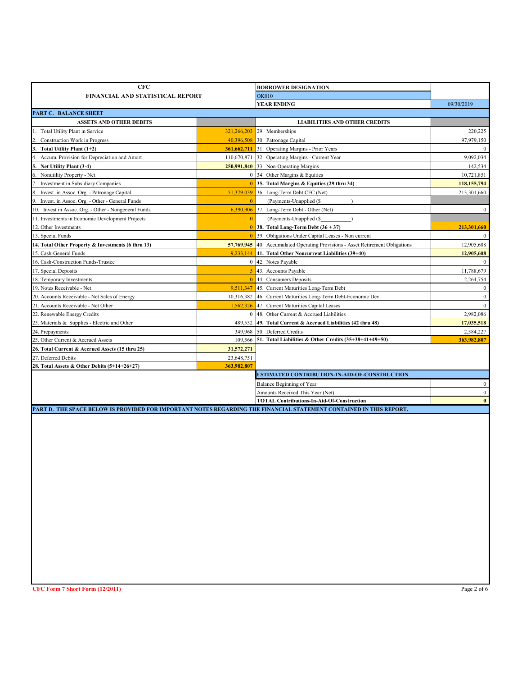| <b>CFC</b>                                                                                                          |                | <b>BORROWER DESIGNATION</b>                                                           |                  |
|---------------------------------------------------------------------------------------------------------------------|----------------|---------------------------------------------------------------------------------------|------------------|
| FINANCIAL AND STATISTICAL REPORT                                                                                    |                | <b>OK010</b>                                                                          |                  |
|                                                                                                                     |                | <b>YEAR ENDING</b>                                                                    | 09/30/2019       |
| PART C. BALANCE SHEET                                                                                               |                |                                                                                       |                  |
| <b>ASSETS AND OTHER DEBITS</b>                                                                                      |                | <b>LIABILITIES AND OTHER CREDITS</b>                                                  |                  |
| Total Utility Plant in Service                                                                                      |                | 321,266,203 29. Memberships                                                           | 220,225          |
| <b>Construction Work in Progress</b>                                                                                |                | 40,396,508 30. Patronage Capital                                                      | 97,979,150       |
| 3. Total Utility Plant (1+2)                                                                                        |                | 361,662,711 31. Operating Margins - Prior Years                                       | $\mathbf{0}$     |
| 4. Accum. Provision for Depreciation and Amort                                                                      |                | 110,670,871 32. Operating Margins - Current Year                                      | 9,092,034        |
| Net Utility Plant (3-4)                                                                                             |                | 250,991,840 33. Non-Operating Margins                                                 | 142,534          |
| Nonutility Property - Net                                                                                           |                | 0 34. Other Margins & Equities                                                        | 10,721,851       |
| 7. Investment in Subsidiary Companies                                                                               |                | 0 35. Total Margins & Equities (29 thru 34)                                           | 118,155,794      |
| Invest. in Assoc. Org. - Patronage Capital                                                                          | 51,379,039     | 36. Long-Term Debt CFC (Net)                                                          | 213,301,660      |
| 9. Invest. in Assoc. Org. - Other - General Funds                                                                   | $\overline{0}$ | $\lambda$<br>(Payments-Unapplied (\$)                                                 |                  |
| 10. Invest in Assoc. Org. - Other - Nongeneral Funds                                                                |                | $6,390,906$ 37. Long-Term Debt - Other (Net)                                          | $\overline{0}$   |
| 11. Investments in Economic Development Projects                                                                    | $\mathbf{0}$   | (Payments-Unapplied (\$)                                                              |                  |
| 12. Other Investments                                                                                               |                | $\boxed{0}$ 38. Total Long-Term Debt (36 + 37)                                        | 213,301,660      |
| 13. Special Funds                                                                                                   | $\mathbf{0}$   | 39. Obligations Under Capital Leases - Non current                                    | $\boldsymbol{0}$ |
| 14. Total Other Property & Investments (6 thru 13)                                                                  |                | <b>57,769,945</b> 40. Accumulated Operating Provisions - Asset Retirement Obligations | 12,905,608       |
| 15. Cash-General Funds                                                                                              |                | $9,233,144$ 41. Total Other Noncurrent Liabilities (39+40)                            | 12,905,608       |
| 16. Cash-Construction Funds-Trustee                                                                                 |                | 0 42. Notes Payable                                                                   | $\mathbf{0}$     |
| 17. Special Deposits                                                                                                | 5              | 43. Accounts Payable                                                                  | 11,788,679       |
| 18. Temporary Investments                                                                                           | $\mathbf{0}$   | 44. Consumers Deposits                                                                | 2,264,754        |
| 19. Notes Receivable - Net                                                                                          | 9,511,347      | 45. Current Maturities Long-Term Debt                                                 | $\boldsymbol{0}$ |
| 20. Accounts Receivable - Net Sales of Energy                                                                       |                | 10,316,382 46. Current Maturities Long-Term Debt-Economic Dev.                        | $\boldsymbol{0}$ |
| 21. Accounts Receivable - Net Other                                                                                 | 1,562,326      | 47. Current Maturities Capital Leases                                                 | $\mathbf{0}$     |
| 22. Renewable Energy Credits                                                                                        |                | 0 48. Other Current & Accrued Liabilities                                             | 2,982,086        |
| 23. Materials & Supplies - Electric and Other                                                                       | 489,532        | 49. Total Current & Accrued Liabilities (42 thru 48)                                  | 17,035,518       |
| 24. Prepayments                                                                                                     | 349,968        | 50. Deferred Credits                                                                  | 2,584,227        |
| 25. Other Current & Accrued Assets                                                                                  | 109,566        | 51. Total Liabilities & Other Credits (35+38+41+49+50)                                | 363,982,807      |
| 26. Total Current & Accrued Assets (15 thru 25)                                                                     | 31,572,271     |                                                                                       |                  |
| 27. Deferred Debits                                                                                                 | 23,648,751     |                                                                                       |                  |
| 28. Total Assets & Other Debits (5+14+26+27)                                                                        | 363,982,807    |                                                                                       |                  |
|                                                                                                                     |                | ESTIMATED CONTRIBUTION-IN-AID-OF-CONSTRUCTION                                         |                  |
|                                                                                                                     |                | Balance Beginning of Year                                                             | $\overline{0}$   |
|                                                                                                                     |                | Amounts Received This Year (Net)                                                      | $\overline{0}$   |
|                                                                                                                     |                | <b>TOTAL Contributions-In-Aid-Of-Construction</b>                                     | $\bf{0}$         |
| PART D. THE SPACE BELOW IS PROVIDED FOR IMPORTANT NOTES REGARDING THE FINANCIAL STATEMENT CONTAINED IN THIS REPORT. |                |                                                                                       |                  |
|                                                                                                                     |                |                                                                                       |                  |
|                                                                                                                     |                |                                                                                       |                  |
|                                                                                                                     |                |                                                                                       |                  |
|                                                                                                                     |                |                                                                                       |                  |
|                                                                                                                     |                |                                                                                       |                  |
|                                                                                                                     |                |                                                                                       |                  |
|                                                                                                                     |                |                                                                                       |                  |
|                                                                                                                     |                |                                                                                       |                  |
|                                                                                                                     |                |                                                                                       |                  |
|                                                                                                                     |                |                                                                                       |                  |
|                                                                                                                     |                |                                                                                       |                  |
|                                                                                                                     |                |                                                                                       |                  |
|                                                                                                                     |                |                                                                                       |                  |
|                                                                                                                     |                |                                                                                       |                  |
|                                                                                                                     |                |                                                                                       |                  |
|                                                                                                                     |                |                                                                                       |                  |
|                                                                                                                     |                |                                                                                       |                  |
|                                                                                                                     |                |                                                                                       |                  |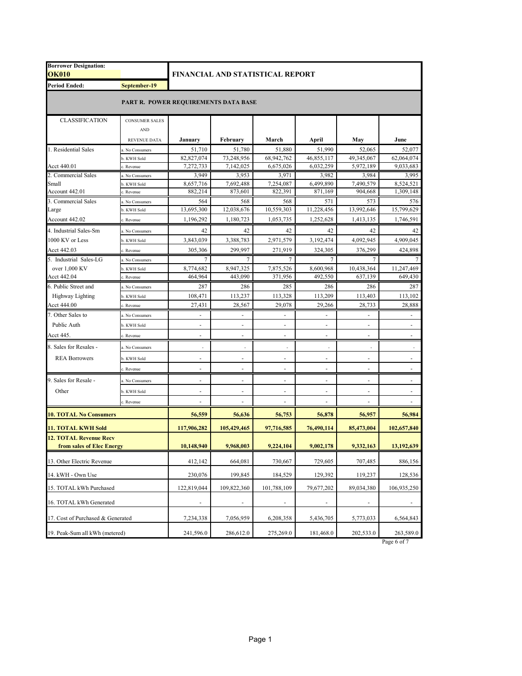| <b>Borrower Designation:</b><br><b>OK010</b> | FINANCIAL AND STATISTICAL REPORT |                          |                          |                          |                          |                          |                        |  |
|----------------------------------------------|----------------------------------|--------------------------|--------------------------|--------------------------|--------------------------|--------------------------|------------------------|--|
| <b>Period Ended:</b>                         | September-19                     |                          |                          |                          |                          |                          |                        |  |
| PART R. POWER REQUIREMENTS DATA BASE         |                                  |                          |                          |                          |                          |                          |                        |  |
| <b>CLASSIFICATION</b>                        | <b>CONSUMER SALES</b>            |                          |                          |                          |                          |                          |                        |  |
|                                              | <b>AND</b>                       |                          |                          |                          |                          |                          |                        |  |
|                                              | <b>REVENUE DATA</b>              | January                  | February                 | March                    | April                    | May                      | June                   |  |
| 1. Residential Sales                         | a. No Consumers                  | 51,710                   | 51,780                   | 51,880                   | 51,990                   | 52.065                   | 52,077                 |  |
|                                              | b. KWH Sold                      | 82,827,074               | 73,248,956               | 68,942,762               | 46,855,117               | 49,345,067               | 62,064,074             |  |
| Acct 440.01                                  | . Revenue                        | 7,272,733                | 7,142,025                | 6,675,026                | 6,032,259                | 5,972,189                | 9,033,683              |  |
| 2. Commercial Sales                          | a. No Consumers                  | 3,949                    | 3,953                    | 3,971                    | 3,982                    | 3,984                    | 3,995                  |  |
| Small                                        | b. KWH Sold                      | 8,657,716<br>882,214     | 7,692,488                | 7,254,087                | 6,499,890                | 7,490,579                | 8,524,521<br>1,309,148 |  |
| Account 442.01                               | . Revenue                        |                          | 873,601                  | 822,391                  | 871,169                  | 904,668                  |                        |  |
| 3. Commercial Sales<br>Large                 | a. No Consumers<br>b. KWH Sold   | 564<br>13,695,300        | 568<br>12,038,676        | 568<br>10,559,303        | 571<br>11,228,456        | 573<br>13,992,646        | 576<br>15,799,629      |  |
| Account 442.02                               | Revenue                          | 1,196,292                | 1,180,723                | 1,053,735                | 1,252,628                | 1,413,135                | 1,746,591              |  |
|                                              |                                  |                          |                          |                          |                          |                          |                        |  |
| 4. Industrial Sales-Sm                       | a. No Consumers                  | 42                       | 42                       | 42                       | 42                       | 42                       | 42                     |  |
| 1000 KV or Less                              | b. KWH Sold                      | 3.843.039                | 3,388,783                | 2,971,579                | 3,192,474                | 4.092.945                | 4,909,045              |  |
| Acct 442.03                                  | Revenue                          | 305,306                  | 299,997                  | 271,919                  | 324,305                  | 376,299                  | 424,898                |  |
| 5. Industrial Sales-LG                       | a. No Consumers                  | 7                        | 7                        | 7                        | 7                        | 7                        |                        |  |
| over 1,000 KV                                | b. KWH Sold                      | 8,774,682                | 8,947,325                | 7,875,526                | 8,600,968                | 10,438,364               | 11,247,469             |  |
| Acct 442.04                                  | Revenue                          | 464,964                  | 443,090                  | 371,956                  | 492,550                  | 637,139                  | 649,430                |  |
| 6. Public Street and                         | a. No Consumers                  | 287                      | 286                      | 285                      | 286                      | 286                      | 287                    |  |
| <b>Highway Lighting</b>                      | b. KWH Sold                      | 108,471                  | 113,237                  | 113,328                  | 113.209                  | 113,403                  | 113,102                |  |
| Acct 444.00                                  | Revenue                          | 27,431                   | 28,567                   | 29.078                   | 29,266                   | 28,733                   | 28,888                 |  |
| 7. Other Sales to                            | L. No Consumers                  |                          |                          |                          |                          |                          |                        |  |
| Public Auth                                  | b. KWH Sold                      |                          |                          |                          |                          |                          |                        |  |
| Acct 445.                                    | . Revenue                        |                          |                          |                          |                          |                          |                        |  |
| 8. Sales for Resales -                       | a. No Consumers                  |                          |                          |                          |                          |                          |                        |  |
| <b>REA Borrowers</b>                         | b. KWH Sold                      |                          |                          | $\overline{\phantom{a}}$ |                          |                          |                        |  |
|                                              | . Revenue                        |                          | $\overline{\phantom{a}}$ | $\overline{\phantom{a}}$ |                          |                          |                        |  |
| 9. Sales for Resale -                        | a. No Consumers                  | $\overline{\phantom{a}}$ | $\frac{1}{2}$            | $\overline{\phantom{a}}$ | $\overline{\phantom{a}}$ | $\overline{\phantom{a}}$ | ÷                      |  |
| Other                                        | b. KWH Sold                      |                          |                          |                          |                          |                          |                        |  |
|                                              | c. Revenue                       |                          |                          |                          |                          |                          |                        |  |
| <b>10. TOTAL No Consumers</b>                |                                  | 56,559                   | 56,636                   | 56,753                   | 56,878                   | 56,957                   | 56,984                 |  |
| <b>11. TOTAL KWH Sold</b>                    |                                  | 117,906,282              | 105,429,465              | 97,716,585               | 76,490,114               | 85,473,004               | 102,657,840            |  |
| <b>12. TOTAL Revenue Recv</b>                |                                  |                          |                          |                          |                          |                          |                        |  |
| from sales of Elec Energy                    |                                  | 10,148,940               | 9,968,003                | 9,224,104                | 9,002,178                | 9,332,163                | 13,192,639             |  |
| 13. Other Electric Revenue                   |                                  | 412,142                  | 664,081                  | 730,667                  | 729,605                  | 707,485                  | 886,156                |  |
| 14. kWH - Own Use                            |                                  | 230,076                  | 199,845                  | 184,529                  | 129,392                  | 119,237                  | 128,536                |  |
| 15. TOTAL kWh Purchased                      |                                  | 122,819,044              | 109,822,360              | 101,788,109              | 79,677,202               | 89,034,380               | 106,935,250            |  |
| 16. TOTAL kWh Generated                      |                                  | $\overline{\phantom{a}}$ | $\overline{\phantom{a}}$ | $\overline{\phantom{a}}$ | $\overline{\phantom{a}}$ | $\overline{\phantom{a}}$ | ٠                      |  |
| 17. Cost of Purchased & Generated            |                                  | 7,234,338                | 7,056,959                | 6,208,358                | 5,436,705                | 5,773,033                | 6,564,843              |  |
| 19. Peak-Sum all kWh (metered)               |                                  | 241,596.0                | 286,612.0                | 275,269.0                | 181,468.0                | 202,533.0                | 263,589.0              |  |

Page 6 of 7